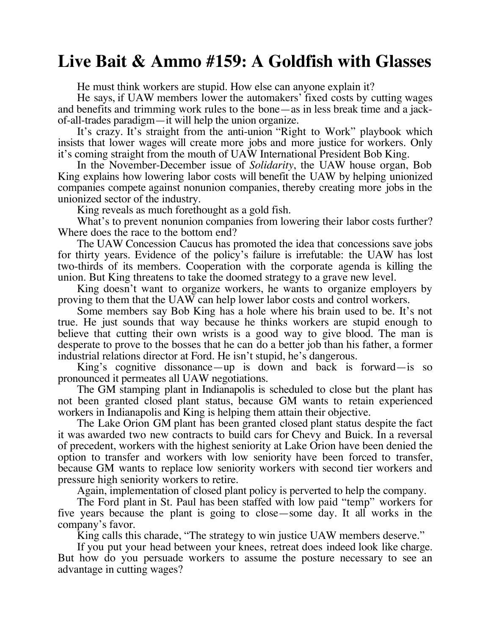## **Live Bait & Ammo #159: A Goldfish with Glasses**

He must think workers are stupid. How else can anyone explain it?

He says, if UAW members lower the automakers' fixed costs by cutting wages and benefits and trimming work rules to the bone—as in less break time and a jackof-all-trades paradigm—it will help the union organize.

It's crazy. It's straight from the anti-union "Right to Work" playbook which insists that lower wages will create more jobs and more justice for workers. Only it's coming straight from the mouth of UAW International President Bob King.

In the November-December issue of *Solidarity*, the UAW house organ, Bob King explains how lowering labor costs will benefit the UAW by helping unionized companies compete against nonunion companies, thereby creating more jobs in the unionized sector of the industry.

King reveals as much forethought as a gold fish.

What's to prevent nonunion companies from lowering their labor costs further? Where does the race to the bottom end?

The UAW Concession Caucus has promoted the idea that concessions save jobs for thirty years. Evidence of the policy's failure is irrefutable: the UAW has lost two-thirds of its members. Cooperation with the corporate agenda is killing the union. But King threatens to take the doomed strategy to a grave new level.

King doesn't want to organize workers, he wants to organize employers by proving to them that the UAW can help lower labor costs and control workers.

Some members say Bob King has a hole where his brain used to be. It's not true. He just sounds that way because he thinks workers are stupid enough to believe that cutting their own wrists is a good way to give blood. The man is desperate to prove to the bosses that he can do a better job than his father, a former industrial relations director at Ford. He isn't stupid, he's dangerous.

King's cognitive dissonance—up is down and back is forward—is so pronounced it permeates all UAW negotiations.

The GM stamping plant in Indianapolis is scheduled to close but the plant has not been granted closed plant status, because GM wants to retain experienced workers in Indianapolis and King is helping them attain their objective.

The Lake Orion GM plant has been granted closed plant status despite the fact it was awarded two new contracts to build cars for Chevy and Buick. In a reversal of precedent, workers with the highest seniority at Lake Orion have been denied the option to transfer and workers with low seniority have been forced to transfer, because GM wants to replace low seniority workers with second tier workers and pressure high seniority workers to retire.

Again, implementation of closed plant policy is perverted to help the company.

The Ford plant in St. Paul has been staffed with low paid "temp" workers for five years because the plant is going to close—some day. It all works in the company's favor.

King calls this charade, "The strategy to win justice UAW members deserve."

If you put your head between your knees, retreat does indeed look like charge. But how do you persuade workers to assume the posture necessary to see an advantage in cutting wages?